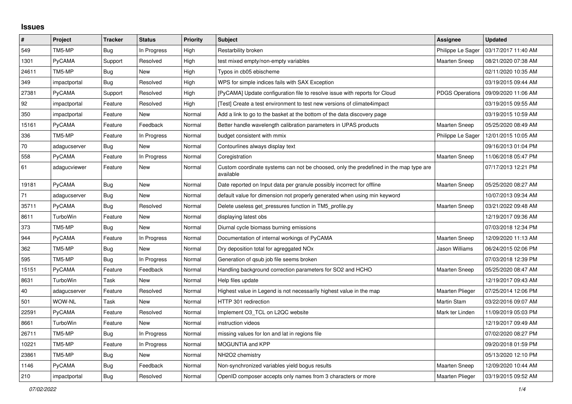## **Issues**

| $\pmb{\#}$ | Project      | <b>Tracker</b> | <b>Status</b> | <b>Priority</b> | <b>Subject</b>                                                                                     | <b>Assignee</b>        | <b>Updated</b>      |
|------------|--------------|----------------|---------------|-----------------|----------------------------------------------------------------------------------------------------|------------------------|---------------------|
| 549        | TM5-MP       | Bug            | In Progress   | High            | Restarbility broken                                                                                | Philippe Le Sager      | 03/17/2017 11:40 AM |
| 1301       | PyCAMA       | Support        | Resolved      | High            | test mixed empty/non-empty variables                                                               | <b>Maarten Sneep</b>   | 08/21/2020 07:38 AM |
| 24611      | TM5-MP       | <b>Bug</b>     | <b>New</b>    | High            | Typos in cb05 ebischeme                                                                            |                        | 02/11/2020 10:35 AM |
| 349        | impactportal | <b>Bug</b>     | Resolved      | High            | WPS for simple indices fails with SAX Exception                                                    |                        | 03/19/2015 09:44 AM |
| 27381      | PyCAMA       | Support        | Resolved      | High            | [PyCAMA] Update configuration file to resolve issue with reports for Cloud                         | <b>PDGS Operations</b> | 09/09/2020 11:06 AM |
| 92         | impactportal | Feature        | Resolved      | High            | [Test] Create a test environment to test new versions of climate4impact                            |                        | 03/19/2015 09:55 AM |
| 350        | impactportal | Feature        | New           | Normal          | Add a link to go to the basket at the bottom of the data discovery page                            |                        | 03/19/2015 10:59 AM |
| 15161      | PyCAMA       | Feature        | Feedback      | Normal          | Better handle wavelength calibration parameters in UPAS products                                   | <b>Maarten Sneep</b>   | 05/25/2020 08:49 AM |
| 336        | TM5-MP       | Feature        | In Progress   | Normal          | budget consistent with mmix                                                                        | Philippe Le Sager      | 12/01/2015 10:05 AM |
| 70         | adagucserver | Bug            | New           | Normal          | Contourlines always display text                                                                   |                        | 09/16/2013 01:04 PM |
| 558        | PyCAMA       | Feature        | In Progress   | Normal          | Coregistration                                                                                     | Maarten Sneep          | 11/06/2018 05:47 PM |
| 61         | adagucviewer | Feature        | New           | Normal          | Custom coordinate systems can not be choosed, only the predefined in the map type are<br>available |                        | 07/17/2013 12:21 PM |
| 19181      | PyCAMA       | Bug            | <b>New</b>    | Normal          | Date reported on Input data per granule possibly incorrect for offline                             | <b>Maarten Sneep</b>   | 05/25/2020 08:27 AM |
| 71         | adagucserver | Bug            | <b>New</b>    | Normal          | default value for dimension not properly generated when using min keyword                          |                        | 10/07/2013 09:34 AM |
| 35711      | PyCAMA       | Bug            | Resolved      | Normal          | Delete useless get_pressures function in TM5_profile.py                                            | <b>Maarten Sneep</b>   | 03/21/2022 09:48 AM |
| 8611       | TurboWin     | Feature        | New           | Normal          | displaying latest obs                                                                              |                        | 12/19/2017 09:36 AM |
| 373        | TM5-MP       | <b>Bug</b>     | New           | Normal          | Diurnal cycle biomass burning emissions                                                            |                        | 07/03/2018 12:34 PM |
| 944        | PyCAMA       | Feature        | In Progress   | Normal          | Documentation of internal workings of PyCAMA                                                       | <b>Maarten Sneep</b>   | 12/09/2020 11:13 AM |
| 362        | TM5-MP       | Bug            | <b>New</b>    | Normal          | Dry deposition total for agreggated NO <sub>x</sub>                                                | Jason Williams         | 06/24/2015 02:06 PM |
| 595        | TM5-MP       | <b>Bug</b>     | In Progress   | Normal          | Generation of qsub job file seems broken                                                           |                        | 07/03/2018 12:39 PM |
| 15151      | PyCAMA       | Feature        | Feedback      | Normal          | Handling background correction parameters for SO2 and HCHO                                         | <b>Maarten Sneep</b>   | 05/25/2020 08:47 AM |
| 8631       | TurboWin     | Task           | New           | Normal          | Help files update                                                                                  |                        | 12/19/2017 09:43 AM |
| 40         | adagucserver | Feature        | Resolved      | Normal          | Highest value in Legend is not necessarily highest value in the map                                | Maarten Plieger        | 07/25/2014 12:06 PM |
| 501        | WOW-NL       | Task           | <b>New</b>    | Normal          | HTTP 301 redirection                                                                               | <b>Martin Stam</b>     | 03/22/2016 09:07 AM |
| 22591      | PyCAMA       | Feature        | Resolved      | Normal          | Implement O3 TCL on L2QC website                                                                   | Mark ter Linden        | 11/09/2019 05:03 PM |
| 8661       | TurboWin     | Feature        | <b>New</b>    | Normal          | instruction videos                                                                                 |                        | 12/19/2017 09:49 AM |
| 26711      | TM5-MP       | <b>Bug</b>     | In Progress   | Normal          | missing values for lon and lat in regions file                                                     |                        | 07/02/2020 08:27 PM |
| 10221      | TM5-MP       | Feature        | In Progress   | Normal          | MOGUNTIA and KPP                                                                                   |                        | 09/20/2018 01:59 PM |
| 23861      | TM5-MP       | Bug            | <b>New</b>    | Normal          | NH2O2 chemistry                                                                                    |                        | 05/13/2020 12:10 PM |
| 1146       | PyCAMA       | Bug            | Feedback      | Normal          | Non-synchronized variables yield bogus results                                                     | <b>Maarten Sneep</b>   | 12/09/2020 10:44 AM |
| 210        | impactportal | Bug            | Resolved      | Normal          | OpenID composer accepts only names from 3 characters or more                                       | Maarten Plieger        | 03/19/2015 09:52 AM |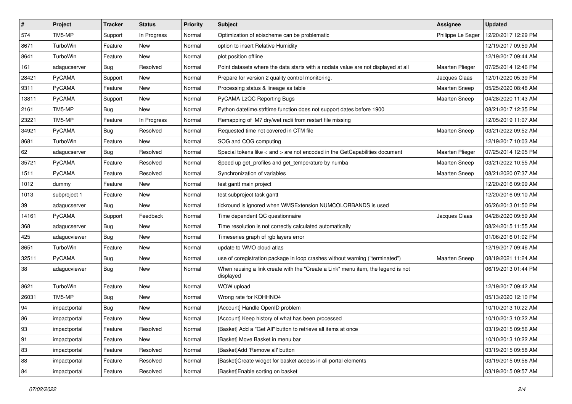| $\pmb{\#}$ | Project      | <b>Tracker</b> | <b>Status</b> | <b>Priority</b> | <b>Subject</b>                                                                                | Assignee             | <b>Updated</b>      |
|------------|--------------|----------------|---------------|-----------------|-----------------------------------------------------------------------------------------------|----------------------|---------------------|
| 574        | TM5-MP       | Support        | In Progress   | Normal          | Optimization of ebischeme can be problematic                                                  | Philippe Le Sager    | 12/20/2017 12:29 PM |
| 8671       | TurboWin     | Feature        | <b>New</b>    | Normal          | option to insert Relative Humidity                                                            |                      | 12/19/2017 09:59 AM |
| 8641       | TurboWin     | Feature        | <b>New</b>    | Normal          | plot position offline                                                                         |                      | 12/19/2017 09:44 AM |
| 161        | adagucserver | <b>Bug</b>     | Resolved      | Normal          | Point datasets where the data starts with a nodata value are not displayed at all             | Maarten Plieger      | 07/25/2014 12:46 PM |
| 28421      | PyCAMA       | Support        | <b>New</b>    | Normal          | Prepare for version 2 quality control monitoring.                                             | Jacques Claas        | 12/01/2020 05:39 PM |
| 9311       | PyCAMA       | Feature        | New           | Normal          | Processing status & lineage as table                                                          | Maarten Sneep        | 05/25/2020 08:48 AM |
| 13811      | PyCAMA       | Support        | <b>New</b>    | Normal          | PyCAMA L2QC Reporting Bugs                                                                    | <b>Maarten Sneep</b> | 04/28/2020 11:43 AM |
| 2161       | TM5-MP       | <b>Bug</b>     | New           | Normal          | Python datetime.strftime function does not support dates before 1900                          |                      | 08/21/2017 12:35 PM |
| 23221      | TM5-MP       | Feature        | In Progress   | Normal          | Remapping of M7 dry/wet radii from restart file missing                                       |                      | 12/05/2019 11:07 AM |
| 34921      | PyCAMA       | <b>Bug</b>     | Resolved      | Normal          | Requested time not covered in CTM file                                                        | Maarten Sneep        | 03/21/2022 09:52 AM |
| 8681       | TurboWin     | Feature        | <b>New</b>    | Normal          | SOG and COG computing                                                                         |                      | 12/19/2017 10:03 AM |
| 62         | adagucserver | <b>Bug</b>     | Resolved      | Normal          | Special tokens like < and > are not encoded in the GetCapabilities document                   | Maarten Plieger      | 07/25/2014 12:05 PM |
| 35721      | PyCAMA       | Feature        | Resolved      | Normal          | Speed up get profiles and get temperature by numba                                            | Maarten Sneep        | 03/21/2022 10:55 AM |
| 1511       | PyCAMA       | Feature        | Resolved      | Normal          | Synchronization of variables                                                                  | <b>Maarten Sneep</b> | 08/21/2020 07:37 AM |
| 1012       | dummy        | Feature        | <b>New</b>    | Normal          | test gantt main project                                                                       |                      | 12/20/2016 09:09 AM |
| 1013       | subproject 1 | Feature        | <b>New</b>    | Normal          | test subproject task gantt                                                                    |                      | 12/20/2016 09:10 AM |
| 39         | adagucserver | Bug            | New           | Normal          | tickround is ignored when WMSExtension NUMCOLORBANDS is used                                  |                      | 06/26/2013 01:50 PM |
| 14161      | PyCAMA       | Support        | Feedback      | Normal          | Time dependent QC questionnaire                                                               | Jacques Claas        | 04/28/2020 09:59 AM |
| 368        | adagucserver | <b>Bug</b>     | New           | Normal          | Time resolution is not correctly calculated automatically                                     |                      | 08/24/2015 11:55 AM |
| 425        | adagucviewer | <b>Bug</b>     | <b>New</b>    | Normal          | Timeseries graph of rgb layers error                                                          |                      | 01/06/2016 01:02 PM |
| 8651       | TurboWin     | Feature        | New           | Normal          | update to WMO cloud atlas                                                                     |                      | 12/19/2017 09:46 AM |
| 32511      | PyCAMA       | <b>Bug</b>     | New           | Normal          | use of coregistration package in loop crashes without warning ("terminated")                  | Maarten Sneep        | 08/19/2021 11:24 AM |
| 38         | adagucviewer | <b>Bug</b>     | <b>New</b>    | Normal          | When reusing a link create with the "Create a Link" menu item, the legend is not<br>displayed |                      | 06/19/2013 01:44 PM |
| 8621       | TurboWin     | Feature        | <b>New</b>    | Normal          | WOW upload                                                                                    |                      | 12/19/2017 09:42 AM |
| 26031      | TM5-MP       | <b>Bug</b>     | New           | Normal          | Wrong rate for KOHHNO4                                                                        |                      | 05/13/2020 12:10 PM |
| 94         | impactportal | <b>Bug</b>     | New           | Normal          | [Account] Handle OpenID problem                                                               |                      | 10/10/2013 10:22 AM |
| 86         | impactportal | Feature        | New           | Normal          | [Account] Keep history of what has been processed                                             |                      | 10/10/2013 10:22 AM |
| 93         | impactportal | Feature        | Resolved      | Normal          | [Basket] Add a "Get All" button to retrieve all items at once                                 |                      | 03/19/2015 09:56 AM |
| 91         | impactportal | Feature        | New           | Normal          | [Basket] Move Basket in menu bar                                                              |                      | 10/10/2013 10:22 AM |
| 83         | impactportal | Feature        | Resolved      | Normal          | [Basket]Add 'Remove all' button                                                               |                      | 03/19/2015 09:58 AM |
| 88         | impactportal | Feature        | Resolved      | Normal          | [Basket]Create widget for basket access in all portal elements                                |                      | 03/19/2015 09:56 AM |
| 84         | impactportal | Feature        | Resolved      | Normal          | [Basket]Enable sorting on basket                                                              |                      | 03/19/2015 09:57 AM |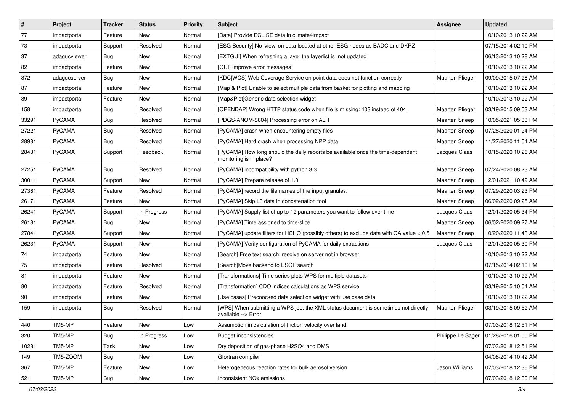| $\vert$ # | Project       | <b>Tracker</b> | <b>Status</b> | <b>Priority</b> | <b>Subject</b>                                                                                             | <b>Assignee</b>        | <b>Updated</b>      |
|-----------|---------------|----------------|---------------|-----------------|------------------------------------------------------------------------------------------------------------|------------------------|---------------------|
| 77        | impactportal  | Feature        | New           | Normal          | [Data] Provide ECLISE data in climate4impact                                                               |                        | 10/10/2013 10:22 AM |
| 73        | impactportal  | Support        | Resolved      | Normal          | [ESG Security] No 'view' on data located at other ESG nodes as BADC and DKRZ                               |                        | 07/15/2014 02:10 PM |
| 37        | adagucviewer  | <b>Bug</b>     | New           | Normal          | [EXTGUI] When refreshing a layer the layerlist is not updated                                              |                        | 06/13/2013 10:28 AM |
| 82        | impactportal  | Feature        | New           | Normal          | [GUI] Improve error messages                                                                               |                        | 10/10/2013 10:22 AM |
| 372       | adagucserver  | <b>Bug</b>     | New           | Normal          | [KDC WCS] Web Coverage Service on point data does not function correctly                                   | <b>Maarten Plieger</b> | 09/09/2015 07:28 AM |
| 87        | impactportal  | Feature        | New           | Normal          | [Map & Plot] Enable to select multiple data from basket for plotting and mapping                           |                        | 10/10/2013 10:22 AM |
| 89        | impactportal  | Feature        | New           | Normal          | [Map&Plot]Generic data selection widget                                                                    |                        | 10/10/2013 10:22 AM |
| 158       | impactportal  | Bug            | Resolved      | Normal          | [OPENDAP] Wrong HTTP status code when file is missing: 403 instead of 404.                                 | <b>Maarten Plieger</b> | 03/19/2015 09:53 AM |
| 33291     | PyCAMA        | <b>Bug</b>     | Resolved      | Normal          | [PDGS-ANOM-8804] Processing error on ALH                                                                   | <b>Maarten Sneep</b>   | 10/05/2021 05:33 PM |
| 27221     | PyCAMA        | Bug            | Resolved      | Normal          | [PyCAMA] crash when encountering empty files                                                               | Maarten Sneep          | 07/28/2020 01:24 PM |
| 28981     | <b>PyCAMA</b> | <b>Bug</b>     | Resolved      | Normal          | [PyCAMA] Hard crash when processing NPP data                                                               | <b>Maarten Sneep</b>   | 11/27/2020 11:54 AM |
| 28431     | PyCAMA        | Support        | Feedback      | Normal          | [PyCAMA] How long should the daily reports be available once the time-dependent<br>monitoring is in place? | Jacques Claas          | 10/15/2020 10:26 AM |
| 27251     | PyCAMA        | <b>Bug</b>     | Resolved      | Normal          | [PyCAMA] incompatibility with python 3.3                                                                   | Maarten Sneep          | 07/24/2020 08:23 AM |
| 30011     | PyCAMA        | Support        | <b>New</b>    | Normal          | [PyCAMA] Prepare release of 1.0                                                                            | <b>Maarten Sneep</b>   | 12/01/2021 10:49 AM |
| 27361     | PyCAMA        | Feature        | Resolved      | Normal          | [PyCAMA] record the file names of the input granules.                                                      | <b>Maarten Sneep</b>   | 07/29/2020 03:23 PM |
| 26171     | PyCAMA        | Feature        | <b>New</b>    | Normal          | [PyCAMA] Skip L3 data in concatenation tool                                                                | <b>Maarten Sneep</b>   | 06/02/2020 09:25 AM |
| 26241     | PyCAMA        | Support        | In Progress   | Normal          | [PyCAMA] Supply list of up to 12 parameters you want to follow over time                                   | Jacques Claas          | 12/01/2020 05:34 PM |
| 26181     | PyCAMA        | <b>Bug</b>     | <b>New</b>    | Normal          | [PyCAMA] Time assigned to time-slice                                                                       | <b>Maarten Sneep</b>   | 06/02/2020 09:27 AM |
| 27841     | PyCAMA        | Support        | <b>New</b>    | Normal          | [PyCAMA] update filters for HCHO (possibly others) to exclude data with QA value < 0.5                     | Maarten Sneep          | 10/20/2020 11:43 AM |
| 26231     | PyCAMA        | Support        | New           | Normal          | [PyCAMA] Verify configuration of PyCAMA for daily extractions                                              | Jacques Claas          | 12/01/2020 05:30 PM |
| 74        | impactportal  | Feature        | New           | Normal          | [Search] Free text search: resolve on server not in browser                                                |                        | 10/10/2013 10:22 AM |
| 75        | impactportal  | Feature        | Resolved      | Normal          | [Search]Move backend to ESGF search                                                                        |                        | 07/15/2014 02:10 PM |
| 81        | impactportal  | Feature        | New           | Normal          | [Transformations] Time series plots WPS for multiple datasets                                              |                        | 10/10/2013 10:22 AM |
| 80        | impactportal  | Feature        | Resolved      | Normal          | [Transformation] CDO indices calculations as WPS service                                                   |                        | 03/19/2015 10:04 AM |
| 90        | impactportal  | Feature        | New           | Normal          | [Use cases] Precoocked data selection widget with use case data                                            |                        | 10/10/2013 10:22 AM |
| 159       | impactportal  | <b>Bug</b>     | Resolved      | Normal          | [WPS] When submitting a WPS job, the XML status document is sometimes not directly<br>available --> Error  | Maarten Plieger        | 03/19/2015 09:52 AM |
| 440       | TM5-MP        | Feature        | New           | Low             | Assumption in calculation of friction velocity over land                                                   |                        | 07/03/2018 12:51 PM |
| 320       | TM5-MP        | <b>Bug</b>     | In Progress   | Low             | <b>Budget inconsistencies</b>                                                                              | Philippe Le Sager      | 01/28/2016 01:00 PM |
| 10281     | TM5-MP        | <b>Task</b>    | <b>New</b>    | Low             | Dry deposition of gas-phase H2SO4 and DMS                                                                  |                        | 07/03/2018 12:51 PM |
| 149       | TM5-ZOOM      | Bug            | New           | Low             | Gfortran compiler                                                                                          |                        | 04/08/2014 10:42 AM |
| 367       | TM5-MP        | Feature        | New           | Low             | Heterogeneous reaction rates for bulk aerosol version                                                      | Jason Williams         | 07/03/2018 12:36 PM |
| 521       | TM5-MP        | <b>Bug</b>     | New           | Low             | Inconsistent NO <sub>x</sub> emissions                                                                     |                        | 07/03/2018 12:30 PM |